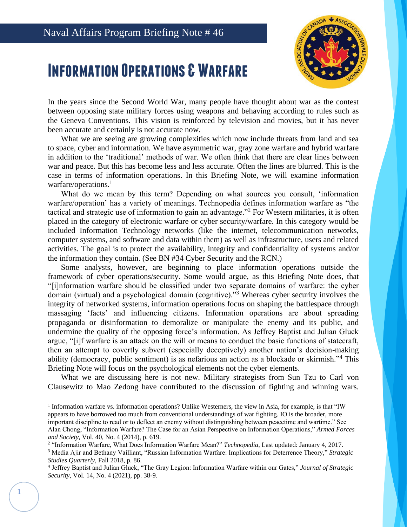

## **INFORMATION OPERATIONS & WARFARE**

In the years since the Second World War, many people have thought about war as the contest between opposing state military forces using weapons and behaving according to rules such as the Geneva Conventions. This vision is reinforced by television and movies, but it has never been accurate and certainly is not accurate now.

What we are seeing are growing complexities which now include threats from land and sea to space, cyber and information. We have asymmetric war, gray zone warfare and hybrid warfare in addition to the 'traditional' methods of war. We often think that there are clear lines between war and peace. But this has become less and less accurate. Often the lines are blurred. This is the case in terms of information operations. In this Briefing Note, we will examine information warfare/operations.<sup>1</sup>

What do we mean by this term? Depending on what sources you consult, 'information warfare/operation' has a variety of meanings. Technopedia defines information warfare as "the tactical and strategic use of information to gain an advantage."<sup>2</sup> For Western militaries, it is often placed in the category of electronic warfare or cyber security/warfare. In this category would be included Information Technology networks (like the internet, telecommunication networks, computer systems, and software and data within them) as well as infrastructure, users and related activities. The goal is to protect the availability, integrity and confidentiality of systems and/or the information they contain. (See BN #34 Cyber Security and the RCN.)

Some analysts, however, are beginning to place information operations outside the framework of cyber operations/security. Some would argue, as this Briefing Note does, that "[i]nformation warfare should be classified under two separate domains of warfare: the cyber domain (virtual) and a psychological domain (cognitive)."<sup>3</sup> Whereas cyber security involves the integrity of networked systems, information operations focus on shaping the battlespace through massaging 'facts' and influencing citizens. Information operations are about spreading propaganda or disinformation to demoralize or manipulate the enemy and its public, and undermine the quality of the opposing force's information. As Jeffrey Baptist and Julian Gluck argue, "[i]f warfare is an attack on the will or means to conduct the basic functions of statecraft, then an attempt to covertly subvert (especially deceptively) another nation's decision-making ability (democracy, public sentiment) is as nefarious an action as a blockade or skirmish."<sup>4</sup> This Briefing Note will focus on the psychological elements not the cyber elements.

What we are discussing here is not new. Military strategists from Sun Tzu to Carl von Clausewitz to Mao Zedong have contributed to the discussion of fighting and winning wars.

1

<sup>&</sup>lt;sup>1</sup> Information warfare vs. information operations? Unlike Westerners, the view in Asia, for example, is that "IW appears to have borrowed too much from conventional understandings of war fighting. IO is the broader, more important discipline to read or to deflect an enemy without distinguishing between peacetime and wartime." See Alan Chong, "Information Warfare? The Case for an Asian Perspective on Information Operations," *Armed Forces and Society*, Vol. 40, No. 4 (2014), p. 619.

<sup>&</sup>lt;sup>2</sup> "Information Warfare, What Does Information Warfare Mean?" *Technopedia*, Last updated: January 4, 2017. <sup>3</sup> Media Ajir and Bethany Vailliant, "Russian Information Warfare: Implications for Deterrence Theory," *Strategic Studies Quarterly*, Fall 2018, p. 86.

<sup>4</sup> Jeffrey Baptist and Julian Gluck, "The Gray Legion: Information Warfare within our Gates," *Journal of Strategic Security*, Vol. 14, No. 4 (2021), pp. 38-9.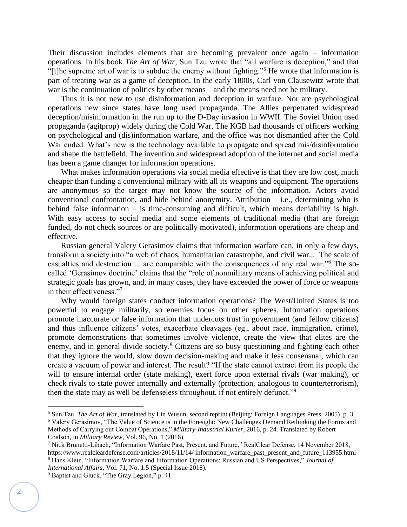Their discussion includes elements that are becoming prevalent once again – information operations. In his book *The Art of War*, Sun Tzu wrote that "all warfare is deception," and that "[t]he supreme art of war is to subdue the enemy without fighting."<sup>5</sup> He wrote that information is part of treating war as a game of deception. In the early 1800s, Carl von Clausewitz wrote that war is the continuation of politics by other means – and the means need not be military.

Thus it is not new to use disinformation and deception in warfare. Nor are psychological operations new since states have long used propaganda. The Allies perpetrated widespread deception/misinformation in the run up to the D-Day invasion in WWII. The Soviet Union used propaganda (agitprop) widely during the Cold War. The KGB had thousands of officers working on psychological and (dis)information warfare, and the office was not dismantled after the Cold War ended. What's new is the technology available to propagate and spread mis/disinformation and shape the battlefield. The invention and widespread adoption of the internet and social media has been a game changer for information operations.

What makes information operations via social media effective is that they are low cost, much cheaper than funding a conventional military with all its weapons and equipment. The operations are anonymous so the target may not know the source of the information. Actors avoid conventional confrontation, and hide behind anonymity. Attribution  $-$  i.e., determining who is behind false information – is time-consuming and difficult, which means deniability is high. With easy access to social media and some elements of traditional media (that are foreign funded, do not check sources or are politically motivated), information operations are cheap and effective.

Russian general Valery Gerasimov claims that information warfare can, in only a few days, transform a society into "a web of chaos, humanitarian catastrophe, and civil war... The scale of casualties and destruction ... are comparable with the consequences of any real war."<sup>6</sup> The socalled 'Gerasimov doctrine' claims that the "role of nonmilitary means of achieving political and strategic goals has grown, and, in many cases, they have exceeded the power of force or weapons in their effectiveness."<sup>7</sup>

Why would foreign states conduct information operations? The West/United States is too powerful to engage militarily, so enemies focus on other spheres. Information operations promote inaccurate or false information that undercuts trust in government (and fellow citizens) and thus influence citizens' votes, exacerbate cleavages (eg., about race, immigration, crime), promote demonstrations that sometimes involve violence, create the view that elites are the enemy, and in general divide society.<sup>8</sup> Citizens are so busy questioning and fighting each other that they ignore the world, slow down decision-making and make it less consensual, which can create a vacuum of power and interest. The result? "If the state cannot extract from its people the will to ensure internal order (state making), exert force upon external rivals (war making), or check rivals to state power internally and externally (protection, analogous to counterterrorism), then the state may as well be defenseless throughout, if not entirely defunct."<sup>9</sup>

<sup>5</sup> Sun Tzu, *The Art of War*, translated by Lin Wusun, second reprint (Beijing: Foreign Languages Press, 2005), p. 3. <sup>6</sup> Valery Gerasimov, "The Value of Science is in the Foresight: New Challenges Demand Rethinking the Forms and Methods of Carrying out Combat Operations," *Military-Industrial Kurier*, 2016, p. 24. Translated by Robert Coalson, in *Military Review*, Vol. 96, No. 1 (2016).

<sup>7</sup> Nick Brunetti-Lihach, "Information Warfare Past, Present, and Future," RealClear Defense, 14 November 2018, https://www.realcleardefense.com/articles/2018/11/14/ information\_warfare\_past\_present\_and\_future\_113955.html <sup>8</sup> Hans Klein, "Information Warfare and Information Operations: Russian and US Perspectives," *Journal of International Affairs*, Vol. 71, No. 1.5 (Special Issue 2018).

<sup>&</sup>lt;sup>9</sup> Baptist and Gluck, "The Gray Legion," p. 41.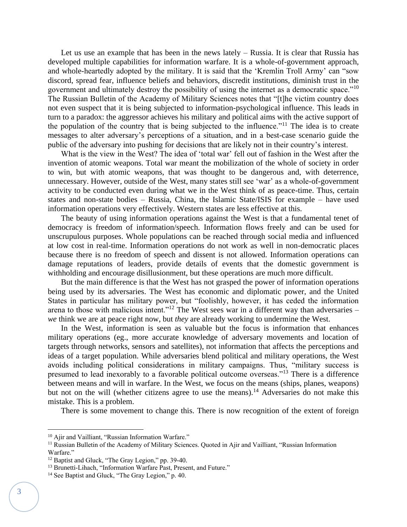Let us use an example that has been in the news lately – Russia. It is clear that Russia has developed multiple capabilities for information warfare. It is a whole-of-government approach, and whole-heartedly adopted by the military. It is said that the 'Kremlin Troll Army' can "sow discord, spread fear, influence beliefs and behaviors, discredit institutions, diminish trust in the government and ultimately destroy the possibility of using the internet as a democratic space."<sup>10</sup> The Russian Bulletin of the Academy of Military Sciences notes that "[t]he victim country does not even suspect that it is being subjected to information-psychological influence. This leads in turn to a paradox: the aggressor achieves his military and political aims with the active support of the population of the country that is being subjected to the influence."<sup>11</sup> The idea is to create messages to alter adversary's perceptions of a situation, and in a best-case scenario guide the public of the adversary into pushing for decisions that are likely not in their country's interest.

What is the view in the West? The idea of 'total war' fell out of fashion in the West after the invention of atomic weapons. Total war meant the mobilization of the whole of society in order to win, but with atomic weapons, that was thought to be dangerous and, with deterrence, unnecessary. However, outside of the West, many states still see 'war' as a whole-of-government activity to be conducted even during what we in the West think of as peace-time. Thus, certain states and non-state bodies – Russia, China, the Islamic State/ISIS for example – have used information operations very effectively. Western states are less effective at this.

The beauty of using information operations against the West is that a fundamental tenet of democracy is freedom of information/speech. Information flows freely and can be used for unscrupulous purposes. Whole populations can be reached through social media and influenced at low cost in real-time. Information operations do not work as well in non-democratic places because there is no freedom of speech and dissent is not allowed. Information operations can damage reputations of leaders, provide details of events that the domestic government is withholding and encourage disillusionment, but these operations are much more difficult.

But the main difference is that the West has not grasped the power of information operations being used by its adversaries. The West has economic and diplomatic power, and the United States in particular has military power, but "foolishly, however, it has ceded the information arena to those with malicious intent."<sup>12</sup> The West sees war in a different way than adversaries – *we* think we are at peace right now, but *they* are already working to undermine the West.

In the West, information is seen as valuable but the focus is information that enhances military operations (eg., more accurate knowledge of adversary movements and location of targets through networks, sensors and satellites), not information that affects the perceptions and ideas of a target population. While adversaries blend political and military operations, the West avoids including political considerations in military campaigns. Thus, "military success is presumed to lead inexorably to a favorable political outcome overseas."<sup>13</sup> There is a difference between means and will in warfare. In the West, we focus on the means (ships, planes, weapons) but not on the will (whether citizens agree to use the means).<sup>14</sup> Adversaries do not make this mistake. This is a problem.

There is some movement to change this. There is now recognition of the extent of foreign

<sup>&</sup>lt;sup>10</sup> Ajir and Vailliant, "Russian Information Warfare."

<sup>&</sup>lt;sup>11</sup> Russian Bulletin of the Academy of Military Sciences. Quoted in Ajir and Vailliant, "Russian Information" Warfare."

<sup>&</sup>lt;sup>12</sup> Baptist and Gluck, "The Gray Legion," pp. 39-40.

<sup>&</sup>lt;sup>13</sup> Brunetti-Lihach, "Information Warfare Past, Present, and Future."

<sup>&</sup>lt;sup>14</sup> See Baptist and Gluck, "The Gray Legion," p. 40.